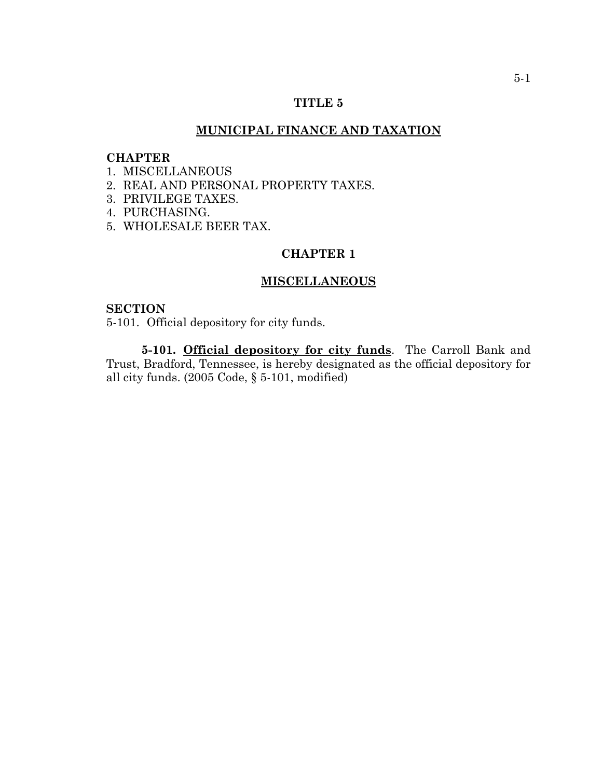## **TITLE 5**

## **MUNICIPAL FINANCE AND TAXATION**

### **CHAPTER**

- 1. MISCELLANEOUS
- 2. REAL AND PERSONAL PROPERTY TAXES.
- 3. PRIVILEGE TAXES.
- 4. PURCHASING.
- 5. WHOLESALE BEER TAX.

# **CHAPTER 1**

# **MISCELLANEOUS**

#### **SECTION**

5-101. Official depository for city funds.

**5-101. Official depository for city funds**. The Carroll Bank and Trust, Bradford, Tennessee, is hereby designated as the official depository for all city funds. (2005 Code, § 5-101, modified)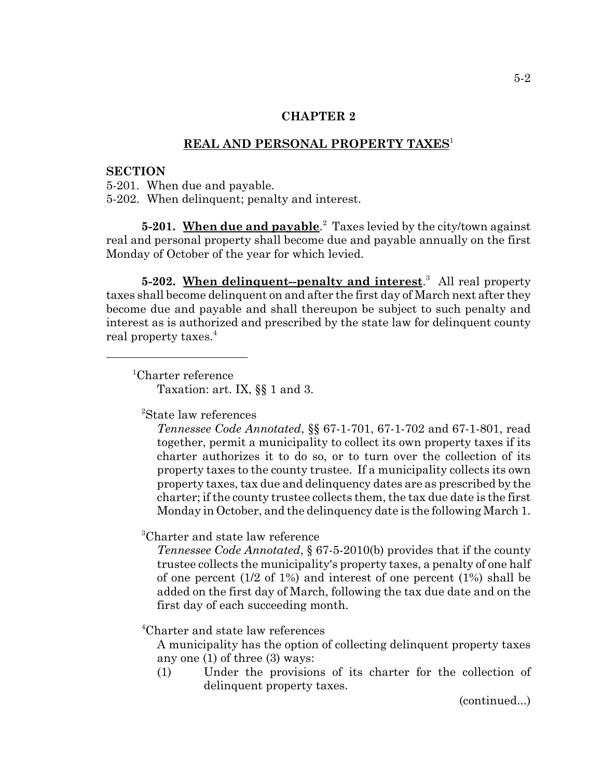# **REAL AND PERSONAL PROPERTY TAXES**<sup>1</sup>

#### **SECTION**

5-201. When due and payable. 5-202. When delinquent; penalty and interest.

**5-201.** When due and payable.<sup>2</sup> Taxes levied by the city/town against real and personal property shall become due and payable annually on the first Monday of October of the year for which levied.

**5-202. When delinquent--penalty and interest**. 3 All real property taxes shall become delinquent on and after the first day of March next after they become due and payable and shall thereupon be subject to such penalty and interest as is authorized and prescribed by the state law for delinquent county real property taxes.<sup>4</sup>

 <sup>1</sup> Charter reference Taxation: art. IX, §§ 1 and 3.

2 State law references

*Tennessee Code Annotated*, §§ 67-1-701, 67-1-702 and 67-1-801, read together, permit a municipality to collect its own property taxes if its charter authorizes it to do so, or to turn over the collection of its property taxes to the county trustee. If a municipality collects its own property taxes, tax due and delinquency dates are as prescribed by the charter; if the county trustee collects them, the tax due date is the first Monday in October, and the delinquency date is the following March 1.

3 Charter and state law reference

*Tennessee Code Annotated*, § 67-5-2010(b) provides that if the county trustee collects the municipality's property taxes, a penalty of one half of one percent (1/2 of 1%) and interest of one percent (1%) shall be added on the first day of March, following the tax due date and on the first day of each succeeding month.

4 Charter and state law references

A municipality has the option of collecting delinquent property taxes any one (1) of three (3) ways:

(1) Under the provisions of its charter for the collection of delinquent property taxes.

(continued...)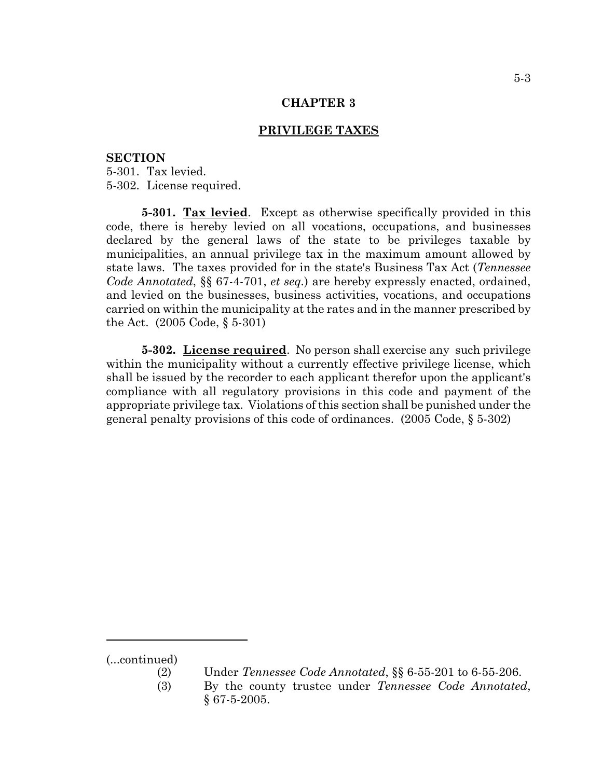# **PRIVILEGE TAXES**

#### **SECTION**

5-301. Tax levied. 5-302. License required.

**5-301. Tax levied**. Except as otherwise specifically provided in this code, there is hereby levied on all vocations, occupations, and businesses declared by the general laws of the state to be privileges taxable by municipalities, an annual privilege tax in the maximum amount allowed by state laws. The taxes provided for in the state's Business Tax Act (*Tennessee Code Annotated*, §§ 67-4-701, *et seq.*) are hereby expressly enacted, ordained, and levied on the businesses, business activities, vocations, and occupations carried on within the municipality at the rates and in the manner prescribed by the Act. (2005 Code, § 5-301)

**5-302. License required**. No person shall exercise any such privilege within the municipality without a currently effective privilege license, which shall be issued by the recorder to each applicant therefor upon the applicant's compliance with all regulatory provisions in this code and payment of the appropriate privilege tax. Violations of this section shall be punished under the general penalty provisions of this code of ordinances. (2005 Code, § 5-302)

<sup>(...</sup>continued)

<sup>(2)</sup> Under *Tennessee Code Annotated*, §§ 6-55-201 to 6-55-206.

<sup>(3)</sup> By the county trustee under *Tennessee Code Annotated*, § 67-5-2005.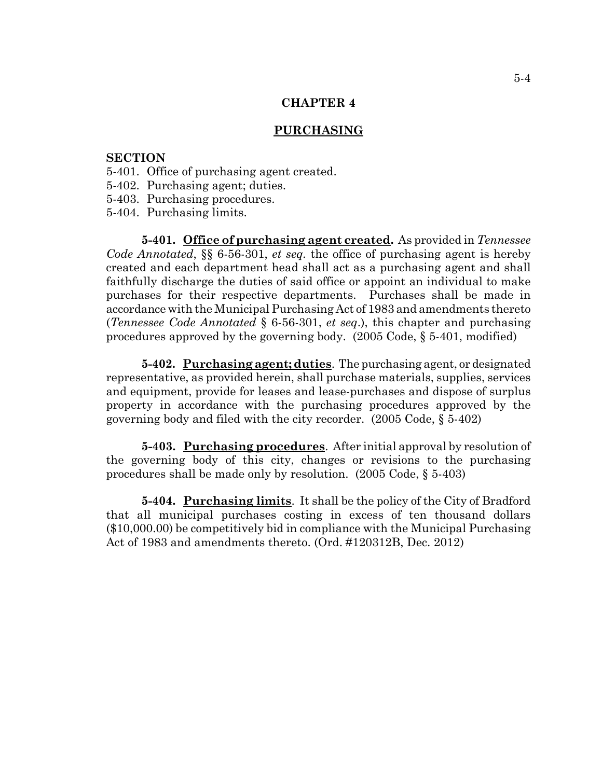### **PURCHASING**

## **SECTION**

- 5-401. Office of purchasing agent created.
- 5-402. Purchasing agent; duties.
- 5-403. Purchasing procedures.
- 5-404. Purchasing limits.

**5-401. Office of purchasing agent created.** As provided in *Tennessee Code Annotated*, §§ 6-56-301, *et seq.* the office of purchasing agent is hereby created and each department head shall act as a purchasing agent and shall faithfully discharge the duties of said office or appoint an individual to make purchases for their respective departments. Purchases shall be made in accordance with the Municipal Purchasing Act of 1983 and amendments thereto (*Tennessee Code Annotated* § 6-56-301, *et seq*.), this chapter and purchasing procedures approved by the governing body. (2005 Code, § 5-401, modified)

**5-402. Purchasing agent; duties**. The purchasing agent, or designated representative, as provided herein, shall purchase materials, supplies, services and equipment, provide for leases and lease-purchases and dispose of surplus property in accordance with the purchasing procedures approved by the governing body and filed with the city recorder. (2005 Code, § 5-402)

**5-403. Purchasing procedures**. After initial approval by resolution of the governing body of this city, changes or revisions to the purchasing procedures shall be made only by resolution. (2005 Code, § 5-403)

**5-404. Purchasing limits**. It shall be the policy of the City of Bradford that all municipal purchases costing in excess of ten thousand dollars (\$10,000.00) be competitively bid in compliance with the Municipal Purchasing Act of 1983 and amendments thereto. (Ord. #120312B, Dec. 2012)